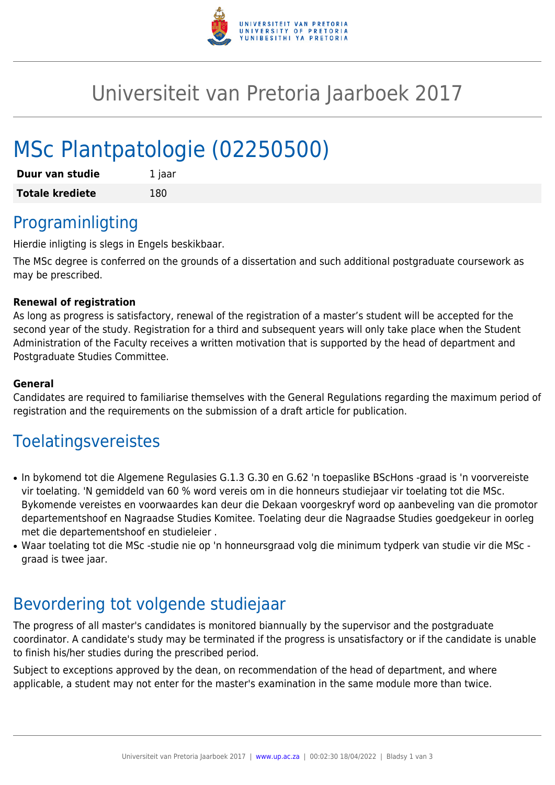

## Universiteit van Pretoria Jaarboek 2017

# MSc Plantpatologie (02250500)

| Duur van studie        | 1 jaar |
|------------------------|--------|
| <b>Totale krediete</b> | 180    |

### Programinligting

Hierdie inligting is slegs in Engels beskikbaar.

The MSc degree is conferred on the grounds of a dissertation and such additional postgraduate coursework as may be prescribed.

#### **Renewal of registration**

As long as progress is satisfactory, renewal of the registration of a master's student will be accepted for the second year of the study. Registration for a third and subsequent years will only take place when the Student Administration of the Faculty receives a written motivation that is supported by the head of department and Postgraduate Studies Committee.

#### **General**

Candidates are required to familiarise themselves with the General Regulations regarding the maximum period of registration and the requirements on the submission of a draft article for publication.

### Toelatingsvereistes

- In bykomend tot die Algemene Regulasies G.1.3 G.30 en G.62 'n toepaslike BScHons -graad is 'n voorvereiste vir toelating. 'N gemiddeld van 60 % word vereis om in die honneurs studiejaar vir toelating tot die MSc. Bykomende vereistes en voorwaardes kan deur die Dekaan voorgeskryf word op aanbeveling van die promotor departementshoof en Nagraadse Studies Komitee. Toelating deur die Nagraadse Studies goedgekeur in oorleg met die departementshoof en studieleier .
- Waar toelating tot die MSc -studie nie op 'n honneursgraad volg die minimum tydperk van studie vir die MSc graad is twee jaar.

### Bevordering tot volgende studiejaar

The progress of all master's candidates is monitored biannually by the supervisor and the postgraduate coordinator. A candidate's study may be terminated if the progress is unsatisfactory or if the candidate is unable to finish his/her studies during the prescribed period.

Subject to exceptions approved by the dean, on recommendation of the head of department, and where applicable, a student may not enter for the master's examination in the same module more than twice.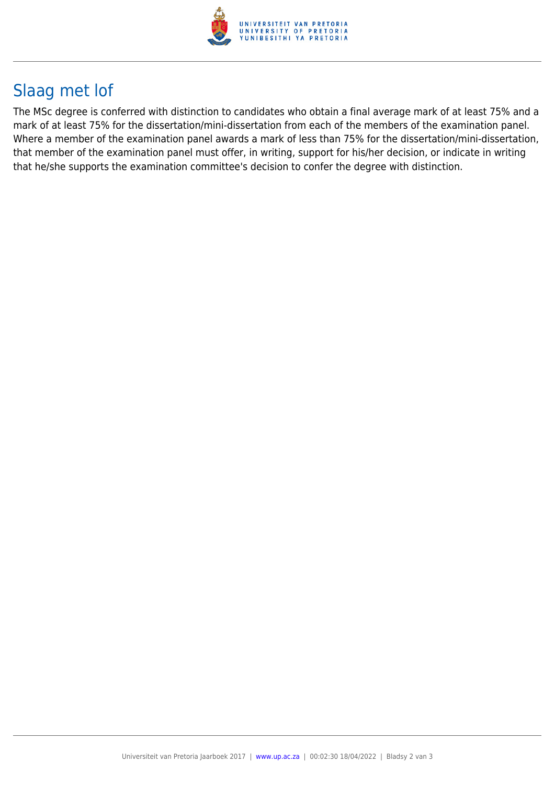

## Slaag met lof

The MSc degree is conferred with distinction to candidates who obtain a final average mark of at least 75% and a mark of at least 75% for the dissertation/mini-dissertation from each of the members of the examination panel. Where a member of the examination panel awards a mark of less than 75% for the dissertation/mini-dissertation, that member of the examination panel must offer, in writing, support for his/her decision, or indicate in writing that he/she supports the examination committee's decision to confer the degree with distinction.